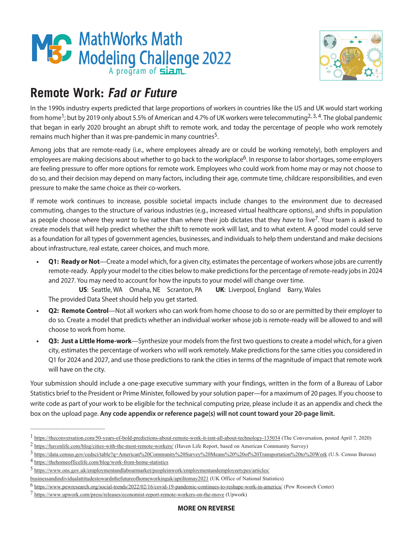



## **Remote Work: Fad or Future**

In the 1990s industry experts predicted that large proportions of workers in countries like the US and UK would start working from home<sup>1</sup>; but by 2019 only about 5.5% of American and 4.7% of UK workers were telecommuting<sup>2, 3, 4</sup>. The global pandemic that began in early 2020 brought an abrupt shift to remote work, and today the percentage of people who work remotely remains much higher than it was pre-pandemic in many countries<sup>5</sup>.

Among jobs that are remote-ready (i.e., where employees already are or could be working remotely), both employers and employees are making decisions about whether to go back to the workplace<sup>6</sup>. In response to labor shortages, some employers are feeling pressure to offer more options for remote work. Employees who could work from home may or may not choose to do so, and their decision may depend on many factors, including their age, commute time, childcare responsibilities, and even pressure to make the same choice as their co-workers.

If remote work continues to increase, possible societal impacts include changes to the environment due to decreased commuting, changes to the structure of various industries (e.g., increased virtual healthcare options), and shifts in population as people choose where they *want* to live rather than where their job dictates that they *have* to live<sup>7</sup>. Your team is asked to create models that will help predict whether the shift to remote work will last, and to what extent. A good model could serve as a foundation for all types of government agencies, businesses, and individuals to help them understand and make decisions about infrastructure, real estate, career choices, and much more.

**• Q1: Ready or Not**—Create a model which, for a given city, estimates the percentage of workers whose jobs are currently remote-ready. Apply your model to the cities below to make predictions for the percentage of remote-ready jobs in 2024 and 2027. You may need to account for how the inputs to your model will change over time.

 **US**: Seattle, WA Omaha, NE Scranton, PA **UK**: Liverpool, England Barry, Wales The provided Data Sheet should help you get started.

- **• Q2: Remote Control**—Not all workers who can work from home choose to do so or are permitted by their employer to do so. Create a model that predicts whether an individual worker whose job is remote-ready will be allowed to and will choose to work from home.
- **• Q3: Just a Little Home-work**—Synthesize your models from the first two questions to create a model which, for a given city, estimates the percentage of workers who will work remotely. Make predictions for the same cities you considered in Q1 for 2024 and 2027, and use those predictions to rank the cities in terms of the magnitude of impact that remote work will have on the city.

Your submission should include a one-page executive summary with your findings, written in the form of a Bureau of Labor Statistics brief to the President or Prime Minister, followed by your solution paper—for a maximum of 20 pages. If you choose to write code as part of your work to be eligible for the technical computing prize, please include it as an appendix and check the box on the upload page. **Any code appendix or reference page(s) will not count toward your 20-page limit.**

--------------------------------------------------

<sup>1</sup> https://theconversation.com/50-years-of-bold-predictions-about-remote-work-it-isnt-all-about-technology-135034 (The Conversation, posted April 7, 2020)

<sup>&</sup>lt;sup>2</sup> https://havenlife.com/blog/cities-with-the-most-remote-workers/ (Haven Life Report, based on American Community Survey)

<sup>3</sup> https://data.census.gov/cedsci/table?q=American%20Community%20Survey%20Means%20%20of%20Transportation%20to%20Work (U.S. Census Bureau)

<sup>4</sup> https://thehomeofficelife.com/blog/work-from-home-statistics

<sup>5</sup> https://www.ons.gov.uk/employmentandlabourmarket/peopleinwork/employmentandemployeetypes/articles/

businessandindividualattitudestowardsthefutureofhomeworkinguk/apriltomay2021 (UK Office of National Statistics)

<sup>6</sup> [https://www.pewresearch.org/social-trends/2022/02/16/covid-19-pandemic-continues-to-reshape-work-in-america/](https://www.pewresearch.org/social-trends/2022/02/16/covid-19-pandemic-continues-to-reshape-work-in-) (Pew Research Center)

<sup>7</sup> https://www.upwork.com/press/releases/economist-report-remote-workers-on-the-move (Upwork)